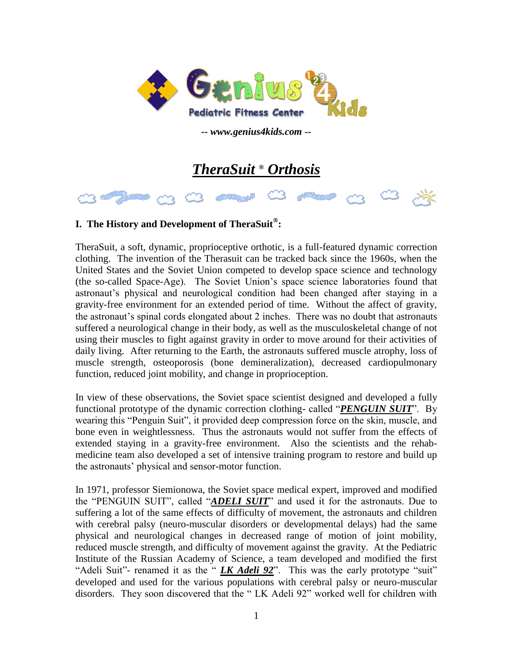

*-- www.genius4kids.com --*

# *TheraSuit ® Orthosis*

### **I. The History and Development of TheraSuit® :**

TheraSuit, a soft, dynamic, proprioceptive orthotic, is a full-featured dynamic correction clothing. The invention of the Therasuit can be tracked back since the 1960s, when the United States and the Soviet Union competed to develop space science and technology (the so-called Space-Age). The Soviet Union's space science laboratories found that astronaut's physical and neurological condition had been changed after staying in a gravity-free environment for an extended period of time. Without the affect of gravity, the astronaut's spinal cords elongated about 2 inches. There was no doubt that astronauts suffered a neurological change in their body, as well as the musculoskeletal change of not using their muscles to fight against gravity in order to move around for their activities of daily living. After returning to the Earth, the astronauts suffered muscle atrophy, loss of muscle strength, osteoporosis (bone demineralization), decreased cardiopulmonary function, reduced joint mobility, and change in proprioception.

In view of these observations, the Soviet space scientist designed and developed a fully functional prototype of the dynamic correction clothing- called "*PENGUIN SUIT*". By wearing this "Penguin Suit", it provided deep compression force on the skin, muscle, and bone even in weightlessness. Thus the astronauts would not suffer from the effects of extended staying in a gravity-free environment. Also the scientists and the rehabmedicine team also developed a set of intensive training program to restore and build up the astronauts' physical and sensor-motor function.

In 1971, professor Siemionowa, the Soviet space medical expert, improved and modified the "PENGUIN SUIT", called "*ADELI SUIT*" and used it for the astronauts. Due to suffering a lot of the same effects of difficulty of movement, the astronauts and children with cerebral palsy (neuro-muscular disorders or developmental delays) had the same physical and neurological changes in decreased range of motion of joint mobility, reduced muscle strength, and difficulty of movement against the gravity. At the Pediatric Institute of the Russian Academy of Science, a team developed and modified the first "Adeli Suit"- renamed it as the " *LK Adeli 92*". This was the early prototype "suit" developed and used for the various populations with cerebral palsy or neuro-muscular disorders. They soon discovered that the " LK Adeli 92" worked well for children with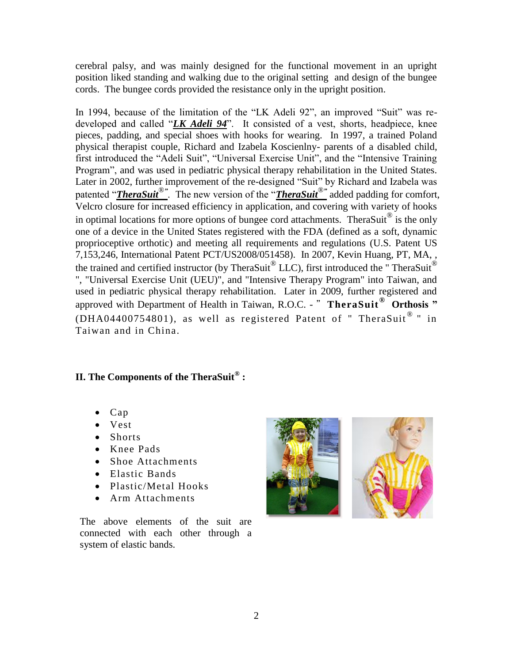cerebral palsy, and was mainly designed for the functional movement in an upright position liked standing and walking due to the original setting and design of the bungee cords. The bungee cords provided the resistance only in the upright position.

In 1994, because of the limitation of the "LK Adeli 92", an improved "Suit" was redeveloped and called "*LK Adeli 94*". It consisted of a vest, shorts, headpiece, knee pieces, padding, and special shoes with hooks for wearing. In 1997, a trained Poland physical therapist couple, Richard and Izabela Koscienlny- parents of a disabled child, first introduced the "Adeli Suit", "Universal Exercise Unit", and the "Intensive Training Program", and was used in pediatric physical therapy rehabilitation in the United States. Later in 2002, further improvement of the re-designed "Suit" by Richard and Izabela was patented "*TheraSuit***<sup>®</sup>"**. The new version of the "*TheraSuit***<sup>®</sup>"** added padding for comfort, Velcro closure for increased efficiency in application, and covering with variety of hooks in optimal locations for more options of bungee cord attachments. TheraSuit<sup>®</sup> is the only one of a device in the United States registered with the FDA (defined as a soft, dynamic proprioceptive orthotic) and meeting all requirements and regulations (U.S. Patent US 7,153,246, International Patent PCT/US2008/051458). In 2007, Kevin Huang, PT, MA, , the trained and certified instructor (by TheraSuit  $^{\circledR}$  LLC), first introduced the "TheraSuit  $^{\circledR}$ ", "Universal Exercise Unit (UEU)", and "Intensive Therapy Program" into Taiwan, and used in pediatric physical therapy rehabilitation. Later in 2009, further registered and approved with Department of Health in Taiwan, R.O.C. - "**TheraSuit® Orthosis "** (DHA04400754801), as well as registered Patent of " TheraSuit  $^{\circ}$  " in Taiwan and in China.

# **II. The Components of the TheraSuit® :**

- Cap
- Vest
- Shorts
- Knee Pads
- Shoe Attachments
- Elastic Bands
- Plastic/Metal Hooks
- Arm Attachments

The above elements of the suit are connected with each other through a system of elastic bands.

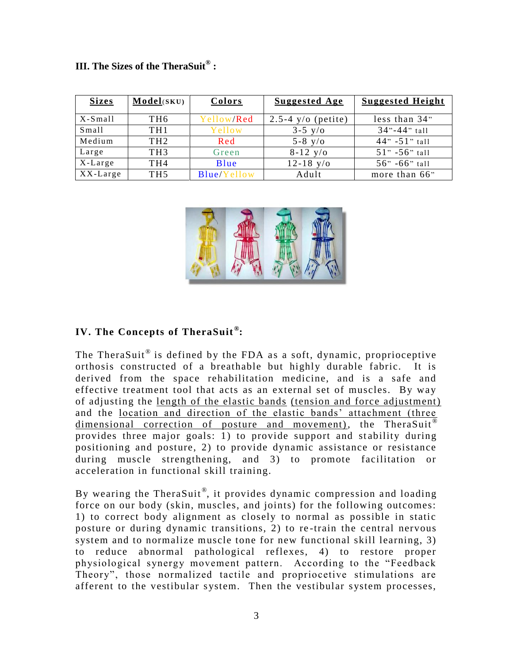| <b>Sizes</b> | Model(SKU)      | Colors      | <b>Suggested Age</b> | <b>Suggested Height</b> |
|--------------|-----------------|-------------|----------------------|-------------------------|
| $X-S$ mall   | TH <sub>6</sub> | Yellow/Red  | $2.5-4$ y/o (petite) | less than 34"           |
| Small        | TH <sub>1</sub> | Yellow      | $3 - 5$ y/o          | $34" - 44"$ tall        |
| Medium       | TH <sub>2</sub> | Red         | 5-8 $y/o$            | $44" - 51"$ tall        |
| Large        | TH <sub>3</sub> | Green       | $8-12$ y/o           | $51" - 56"$ tall        |
| X-Large      | TH <sub>4</sub> | Blue        | $12 - 18$ y/o        | $56" - 66"$ tall        |
| $XX$ -Large  | TH <sub>5</sub> | Blue/Yellow | Adult                | more than 66"           |

### **III. The Sizes of the TheraSuit® :**



### **IV. The Concepts of TheraSuit ® :**

The TheraSuit  $^{\circledR}$  is defined by the FDA as a soft, dynamic, proprioceptive orthosis constructed of a breathable but highly durable fabric. It is derived from the space rehabilitation medicine, and is a safe and effective treatment tool that acts as an external set of muscles. By way of adjusting the length of the elastic bands (tension and force adjustment) and the location and direction of the elastic bands' attachment (three dimensional correction of posture and movement), the TheraSuit<sup>®</sup> provides three major goals: 1) to provide support and stability during positioning and posture, 2) to provide dynamic assistance or resistance during muscle strengthening, and 3) to promote facilitation or acceleration in functional skill training.

By wearing the TheraSuit®, it provides dynamic compression and loading force on our body (skin, muscles, and joints) for the following outcomes: 1) to correct body alignment as closely to normal as possible in static posture or during dynamic transitions, 2) to re -train the central nervous system and to normalize muscle tone for new functional skill learning, 3) to reduce abnormal pathological reflexes, 4) to restore proper physiological synergy movement pattern. According to the "Feedback Theory", those normalized tactile and propriocetive stimulations are afferent to the vestibular system. Then the vestibular system processes,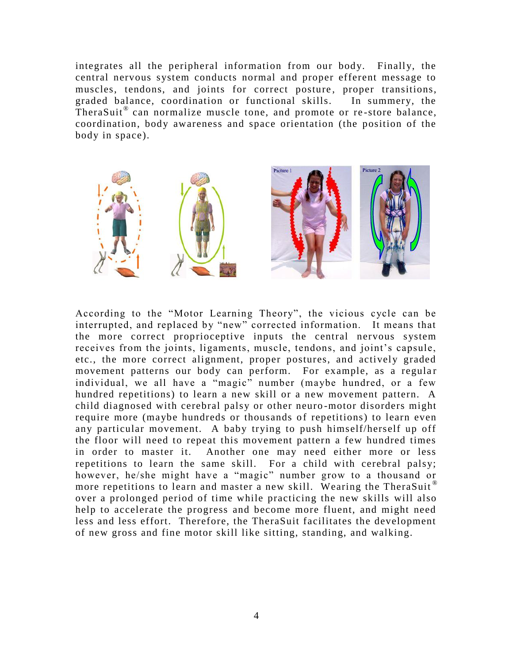integrates all the peripheral information from our body. Finally, the central nervous system conducts normal and proper efferent message to muscles, tendons, and joints for correct posture, proper transitions, graded balance, coordination or functional skills. In summery, the TheraSuit<sup>®</sup> can normalize muscle tone, and promote or re-store balance, coordination, body awareness and space orientation (the position of the body in space).



According to the "Motor Learning Theory", the vicious cycle can be interrupted, and replaced by "new" corrected information. It means that the more correct proprioceptive inputs the central nervous system receives from the joints, ligaments, muscle, tendons, and joint's capsule, etc., the more correct alignment, proper postures, and actively graded movement patterns our body can perform. For example, as a regular individual, we all have a "magic" number (maybe hundred, or a few hundred repetitions) to learn a new skill or a new movement pattern. A child diagnosed with cerebral palsy or other neuro -motor disorders might require more (maybe hundreds or thousands of repetitions) to learn even any particular movement. A baby trying to push himself/herself up off the floor will need to repeat this movement pattern a few hundred times in order to master it. Another one may need either more or less repetitions to learn the same skill. For a child with cerebral palsy; however, he/she might have a "magic" number grow to a thousand or more repetitions to learn and master a new skill. Wearing the TheraSuit<sup>®</sup> over a prolonged period of time while practicing the new skills will also help to accelerate the progress and become more fluent, and might need less and less effort. Therefore, the TheraSuit facilitates the development of new gross and fine motor skill like sitting, standing, and walking.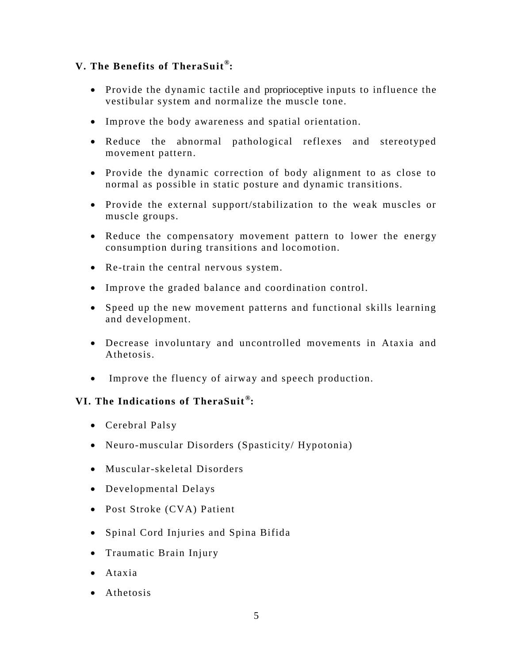# **V. The Benefits of TheraSuit® :**

- Provide the dynamic tactile and proprioceptive inputs to influence the vestibular system and normalize the muscle tone.
- Improve the body awareness and spatial orientation.
- Reduce the abnormal pathological reflexes and stereotyped movement pattern.
- Provide the dynamic correction of body alignment to as close to normal as possible in static posture and dynamic transitions.
- Provide the external support/stabilization to the weak muscles or muscle groups.
- Reduce the compensatory movement pattern to lower the energy consumption during transitions and locomotion.
- Re-train the central nervous system.
- Improve the graded balance and coordination control.
- Speed up the new movement patterns and functional skills learning and development.
- Decrease involuntary and uncontrolled movements in Ataxia and Athetosis.
- Improve the fluency of airway and speech production.

### **VI. The Indications of TheraSuit ® :**

- Cerebral Palsy
- Neuro-muscular Disorders (Spasticity/ Hypotonia)
- Muscular-skeletal Disorders
- Developmental Delays
- Post Stroke (CVA) Patient
- Spinal Cord Injuries and Spina Bifida
- Traumatic Brain Injury
- Ataxia
- Athetosis